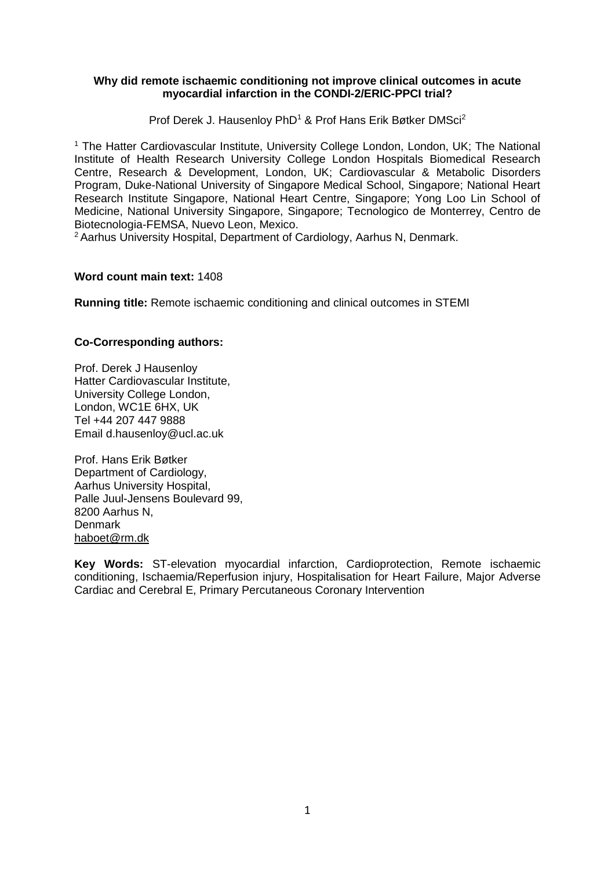## **Why did remote ischaemic conditioning not improve clinical outcomes in acute myocardial infarction in the CONDI-2/ERIC-PPCI trial?**

Prof Derek J. Hausenloy PhD<sup>1</sup> & Prof Hans Erik Bøtker DMSci<sup>2</sup>

<sup>1</sup> The Hatter Cardiovascular Institute, University College London, London, UK; The National Institute of Health Research University College London Hospitals Biomedical Research Centre, Research & Development, London, UK; Cardiovascular & Metabolic Disorders Program, Duke-National University of Singapore Medical School, Singapore; National Heart Research Institute Singapore, National Heart Centre, Singapore; Yong Loo Lin School of Medicine, National University Singapore, Singapore; Tecnologico de Monterrey, Centro de Biotecnologia-FEMSA, Nuevo Leon, Mexico.

<sup>2</sup> Aarhus University Hospital, Department of Cardiology, Aarhus N, Denmark.

## **Word count main text:** 1408

**Running title:** Remote ischaemic conditioning and clinical outcomes in STEMI

# **Co-Corresponding authors:**

Prof. Derek J Hausenloy Hatter Cardiovascular Institute, University College London, London, WC1E 6HX, UK Tel +44 207 447 9888 Email d.hausenloy@ucl.ac.uk

Prof. Hans Erik Bøtker Department of Cardiology, Aarhus University Hospital, Palle Juul-Jensens Boulevard 99, 8200 Aarhus N, Denmark [haboet@rm.dk](mailto:haboet@rm.dk)

**Key Words:** ST-elevation myocardial infarction, Cardioprotection, Remote ischaemic conditioning, Ischaemia/Reperfusion injury, Hospitalisation for Heart Failure, Major Adverse Cardiac and Cerebral E, Primary Percutaneous Coronary Intervention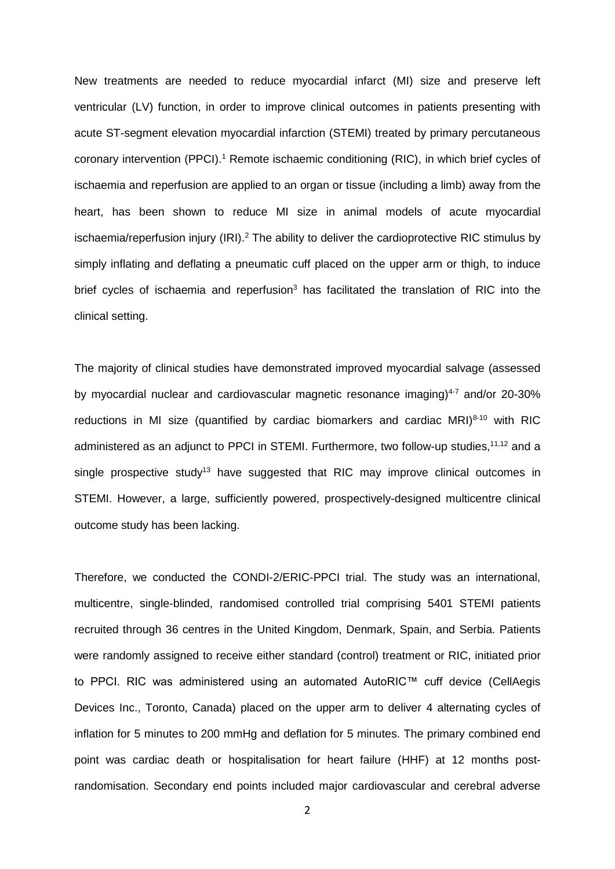New treatments are needed to reduce myocardial infarct (MI) size and preserve left ventricular (LV) function, in order to improve clinical outcomes in patients presenting with acute ST-segment elevation myocardial infarction (STEMI) treated by primary percutaneous coronary intervention (PPCI).<sup>1</sup> Remote ischaemic conditioning (RIC), in which brief cycles of ischaemia and reperfusion are applied to an organ or tissue (including a limb) away from the heart, has been shown to reduce MI size in animal models of acute myocardial ischaemia/reperfusion injury (IRI).<sup>2</sup> The ability to deliver the cardioprotective RIC stimulus by simply inflating and deflating a pneumatic cuff placed on the upper arm or thigh, to induce brief cycles of ischaemia and reperfusion<sup>3</sup> has facilitated the translation of RIC into the clinical setting.

The majority of clinical studies have demonstrated improved myocardial salvage (assessed by myocardial nuclear and cardiovascular magnetic resonance imaging) $4-7$  and/or 20-30% reductions in MI size (quantified by cardiac biomarkers and cardiac MRI) $8-10$  with RIC administered as an adjunct to PPCI in STEMI. Furthermore, two follow-up studies,<sup>11,12</sup> and a single prospective study<sup>13</sup> have suggested that RIC may improve clinical outcomes in STEMI. However, a large, sufficiently powered, prospectively-designed multicentre clinical outcome study has been lacking.

Therefore, we conducted the CONDI-2/ERIC-PPCI trial. The study was an international, multicentre, single-blinded, randomised controlled trial comprising 5401 STEMI patients recruited through 36 centres in the United Kingdom, Denmark, Spain, and Serbia. Patients were randomly assigned to receive either standard (control) treatment or RIC, initiated prior to PPCI. RIC was administered using an automated AutoRIC™ cuff device (CellAegis Devices Inc., Toronto, Canada) placed on the upper arm to deliver 4 alternating cycles of inflation for 5 minutes to 200 mmHg and deflation for 5 minutes. The primary combined end point was cardiac death or hospitalisation for heart failure (HHF) at 12 months postrandomisation. Secondary end points included major cardiovascular and cerebral adverse

2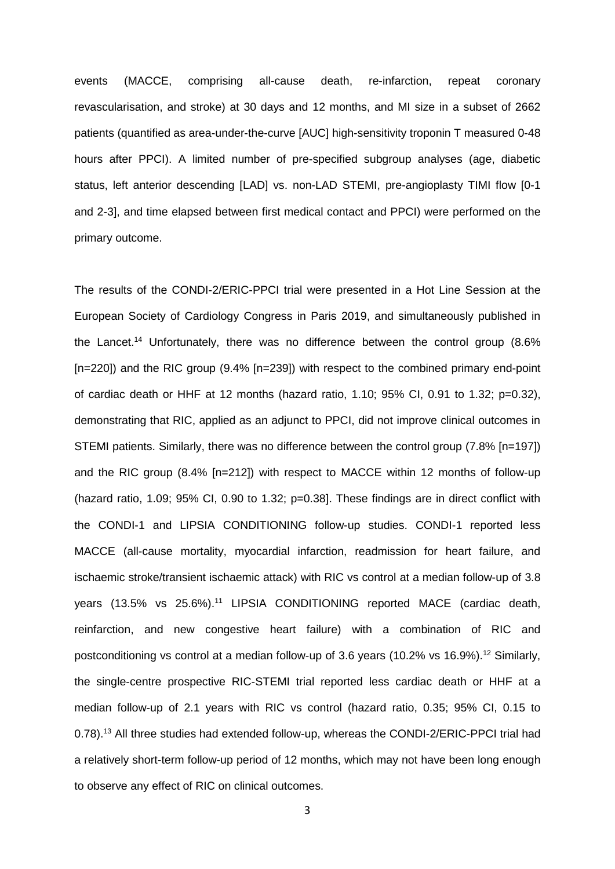events (MACCE, comprising all-cause death, re-infarction, repeat coronary revascularisation, and stroke) at 30 days and 12 months, and MI size in a subset of 2662 patients (quantified as area-under-the-curve [AUC] high-sensitivity troponin T measured 0-48 hours after PPCI). A limited number of pre-specified subgroup analyses (age, diabetic status, left anterior descending [LAD] vs. non-LAD STEMI, pre-angioplasty TIMI flow [0-1 and 2-3], and time elapsed between first medical contact and PPCI) were performed on the primary outcome.

The results of the CONDI-2/ERIC-PPCI trial were presented in a Hot Line Session at the European Society of Cardiology Congress in Paris 2019, and simultaneously published in the Lancet. <sup>14</sup> Unfortunately, there was no difference between the control group (8.6% [n=220]) and the RIC group (9.4% [n=239]) with respect to the combined primary end-point of cardiac death or HHF at 12 months (hazard ratio, 1.10;  $95\%$  CI, 0.91 to 1.32; p=0.32), demonstrating that RIC, applied as an adjunct to PPCI, did not improve clinical outcomes in STEMI patients. Similarly, there was no difference between the control group (7.8% [n=197]) and the RIC group (8.4% [n=212]) with respect to MACCE within 12 months of follow-up (hazard ratio, 1.09; 95% CI, 0.90 to 1.32; p=0.38]. These findings are in direct conflict with the CONDI-1 and LIPSIA CONDITIONING follow-up studies. CONDI-1 reported less MACCE (all-cause mortality, myocardial infarction, readmission for heart failure, and ischaemic stroke/transient ischaemic attack) with RIC vs control at a median follow-up of 3.8 years (13.5% vs 25.6%). <sup>11</sup> LIPSIA CONDITIONING reported MACE (cardiac death, reinfarction, and new congestive heart failure) with a combination of RIC and postconditioning vs control at a median follow-up of 3.6 years (10.2% vs 16.9%).<sup>12</sup> Similarly, the single-centre prospective RIC-STEMI trial reported less cardiac death or HHF at a median follow-up of 2.1 years with RIC vs control (hazard ratio, 0.35; 95% CI, 0.15 to 0.78).<sup>13</sup> All three studies had extended follow-up, whereas the CONDI-2/ERIC-PPCI trial had a relatively short-term follow-up period of 12 months, which may not have been long enough to observe any effect of RIC on clinical outcomes.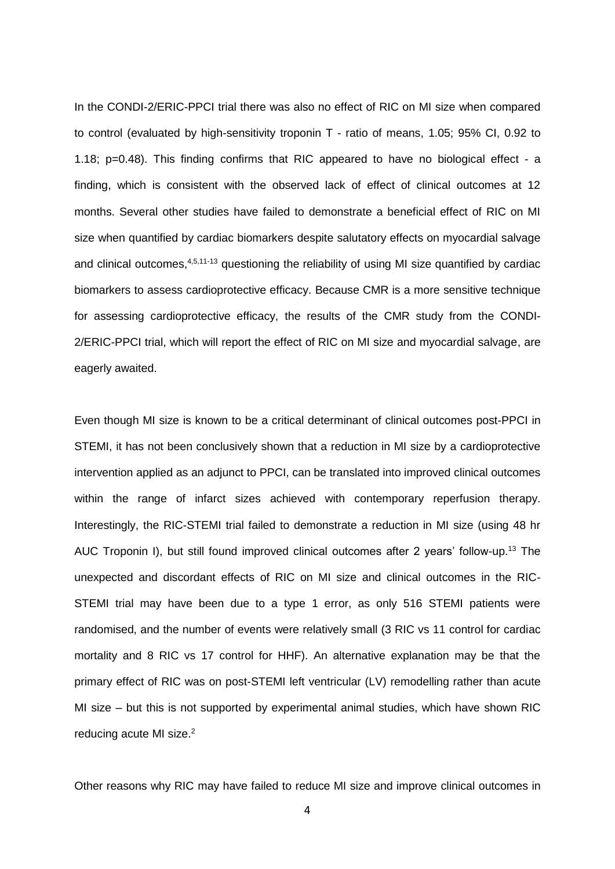In the CONDI-2/ERIC-PPCI trial there was also no effect of RIC on MI size when compared to control (evaluated by high-sensitivity troponin T - ratio of means, 1.05; 95% CI, 0.92 to 1.18;  $p=0.48$ ). This finding confirms that RIC appeared to have no biological effect - a finding, which is consistent with the observed lack of effect of clinical outcomes at 12 months. Several other studies have failed to demonstrate a beneficial effect of RIC on MI size when quantified by cardiac biomarkers despite salutatory effects on myocardial salvage and clinical outcomes,<sup>4,5,11-13</sup> questioning the reliability of using MI size quantified by cardiac biomarkers to assess cardioprotective efficacy. Because CMR is a more sensitive technique for assessing cardioprotective efficacy, the results of the CMR study from the CONDI-2/ERIC-PPCI trial, which will report the effect of RIC on MI size and myocardial salvage, are eagerly awaited.

Even though MI size is known to be a critical determinant of clinical outcomes post-PPCI in STEMI, it has not been conclusively shown that a reduction in MI size by a cardioprotective intervention applied as an adjunct to PPCI, can be translated into improved clinical outcomes within the range of infarct sizes achieved with contemporary reperfusion therapy. Interestingly, the RIC-STEMI trial failed to demonstrate a reduction in MI size (using 48 hr AUC Troponin I), but still found improved clinical outcomes after 2 years' follow-up.<sup>13</sup> The unexpected and discordant effects of RIC on MI size and clinical outcomes in the RIC-STEMI trial may have been due to a type 1 error, as only 516 STEMI patients were randomised, and the number of events were relatively small (3 RIC vs 11 control for cardiac mortality and 8 RIC vs 17 control for HHF). An alternative explanation may be that the primary effect of RIC was on post-STEMI left ventricular (LV) remodelling rather than acute MI size – but this is not supported by experimental animal studies, which have shown RIC reducing acute MI size.<sup>2</sup>

Other reasons why RIC may have failed to reduce MI size and improve clinical outcomes in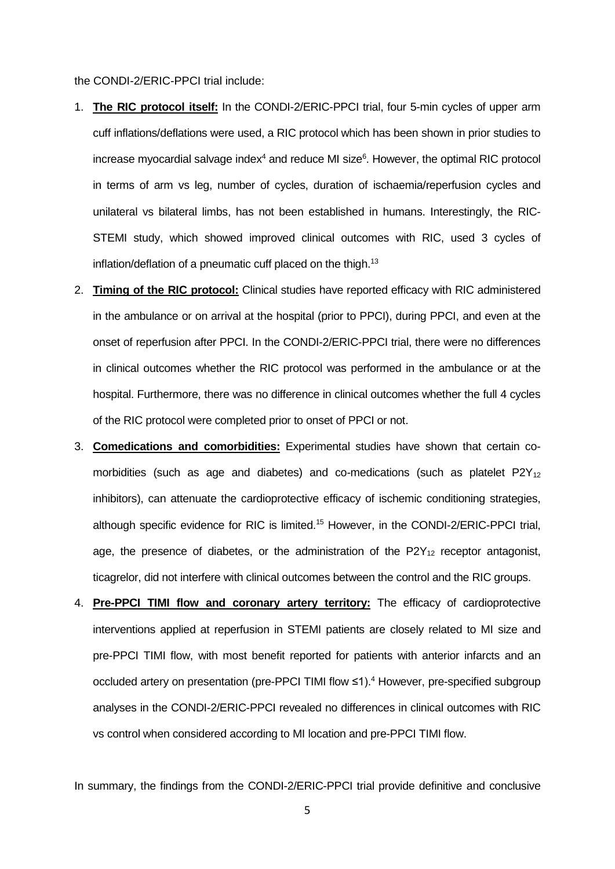the CONDI-2/ERIC-PPCI trial include:

- 1. **The RIC protocol itself:** In the CONDI-2/ERIC-PPCI trial, four 5-min cycles of upper arm cuff inflations/deflations were used, a RIC protocol which has been shown in prior studies to increase myocardial salvage index $4$  and reduce MI size $6$ . However, the optimal RIC protocol in terms of arm vs leg, number of cycles, duration of ischaemia/reperfusion cycles and unilateral vs bilateral limbs, has not been established in humans. Interestingly, the RIC-STEMI study, which showed improved clinical outcomes with RIC, used 3 cycles of inflation/deflation of a pneumatic cuff placed on the thigh.<sup>13</sup>
- 2. **Timing of the RIC protocol:** Clinical studies have reported efficacy with RIC administered in the ambulance or on arrival at the hospital (prior to PPCI), during PPCI, and even at the onset of reperfusion after PPCI. In the CONDI-2/ERIC-PPCI trial, there were no differences in clinical outcomes whether the RIC protocol was performed in the ambulance or at the hospital. Furthermore, there was no difference in clinical outcomes whether the full 4 cycles of the RIC protocol were completed prior to onset of PPCI or not.
- 3. **Comedications and comorbidities:** Experimental studies have shown that certain comorbidities (such as age and diabetes) and co-medications (such as platelet  $P2Y_{12}$ inhibitors), can attenuate the cardioprotective efficacy of ischemic conditioning strategies, although specific evidence for RIC is limited. <sup>15</sup> However, in the CONDI-2/ERIC-PPCI trial, age, the presence of diabetes, or the administration of the  $P2Y_{12}$  receptor antagonist, ticagrelor, did not interfere with clinical outcomes between the control and the RIC groups.
- 4. **Pre-PPCI TIMI flow and coronary artery territory:** The efficacy of cardioprotective interventions applied at reperfusion in STEMI patients are closely related to MI size and pre-PPCI TIMI flow, with most benefit reported for patients with anterior infarcts and an occluded artery on presentation (pre-PPCI TIMI flow ≤1). <sup>4</sup> However, pre-specified subgroup analyses in the CONDI-2/ERIC-PPCI revealed no differences in clinical outcomes with RIC vs control when considered according to MI location and pre-PPCI TIMI flow.

In summary, the findings from the CONDI-2/ERIC-PPCI trial provide definitive and conclusive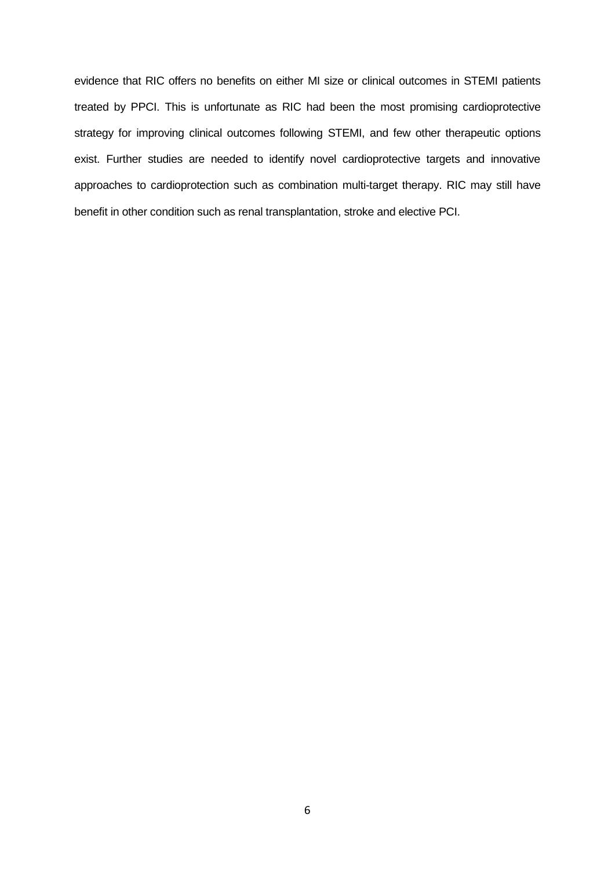evidence that RIC offers no benefits on either MI size or clinical outcomes in STEMI patients treated by PPCI. This is unfortunate as RIC had been the most promising cardioprotective strategy for improving clinical outcomes following STEMI, and few other therapeutic options exist. Further studies are needed to identify novel cardioprotective targets and innovative approaches to cardioprotection such as combination multi-target therapy. RIC may still have benefit in other condition such as renal transplantation, stroke and elective PCI.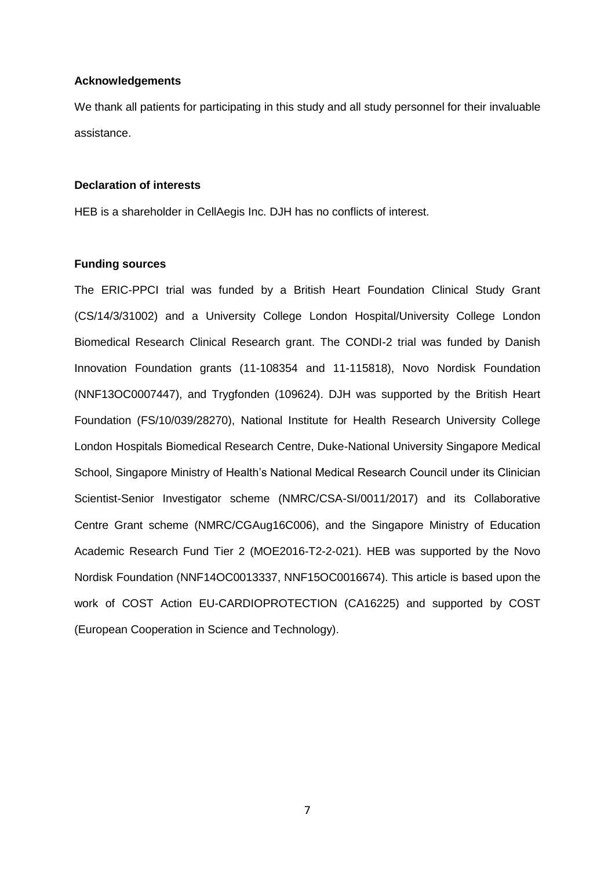#### **Acknowledgements**

We thank all patients for participating in this study and all study personnel for their invaluable assistance.

#### **Declaration of interests**

HEB is a shareholder in CellAegis Inc. DJH has no conflicts of interest.

### **Funding sources**

The ERIC-PPCI trial was funded by a British Heart Foundation Clinical Study Grant (CS/14/3/31002) and a University College London Hospital/University College London Biomedical Research Clinical Research grant. The CONDI-2 trial was funded by Danish Innovation Foundation grants (11-108354 and 11-115818), Novo Nordisk Foundation (NNF13OC0007447), and Trygfonden (109624). DJH was supported by the British Heart Foundation (FS/10/039/28270), National Institute for Health Research University College London Hospitals Biomedical Research Centre, Duke-National University Singapore Medical School, Singapore Ministry of Health's National Medical Research Council under its Clinician Scientist-Senior Investigator scheme (NMRC/CSA-SI/0011/2017) and its Collaborative Centre Grant scheme (NMRC/CGAug16C006), and the Singapore Ministry of Education Academic Research Fund Tier 2 (MOE2016-T2-2-021). HEB was supported by the Novo Nordisk Foundation (NNF14OC0013337, NNF15OC0016674). This article is based upon the work of COST Action EU-CARDIOPROTECTION (CA16225) and supported by COST (European Cooperation in Science and Technology).

7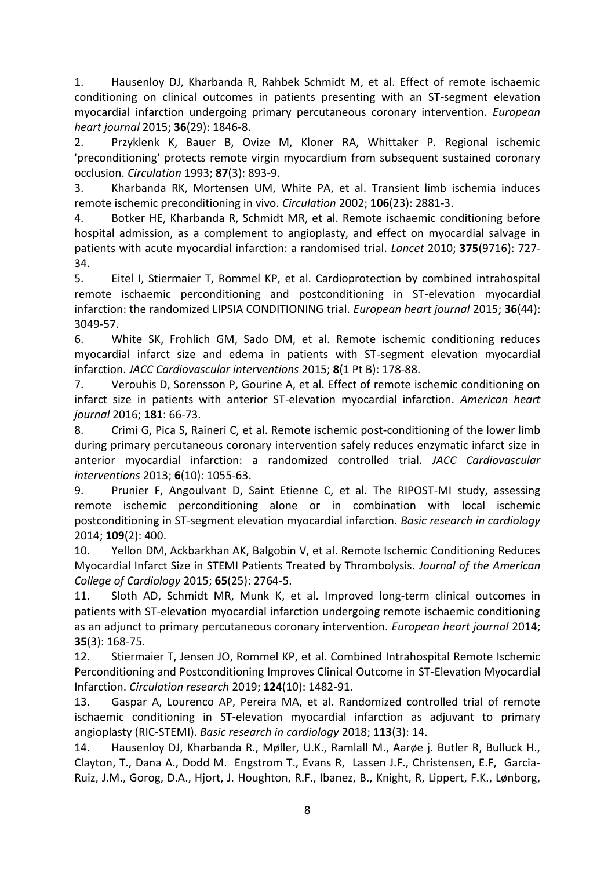1. Hausenloy DJ, Kharbanda R, Rahbek Schmidt M, et al. Effect of remote ischaemic conditioning on clinical outcomes in patients presenting with an ST-segment elevation myocardial infarction undergoing primary percutaneous coronary intervention. *European heart journal* 2015; **36**(29): 1846-8.

2. Przyklenk K, Bauer B, Ovize M, Kloner RA, Whittaker P. Regional ischemic 'preconditioning' protects remote virgin myocardium from subsequent sustained coronary occlusion. *Circulation* 1993; **87**(3): 893-9.

3. Kharbanda RK, Mortensen UM, White PA, et al. Transient limb ischemia induces remote ischemic preconditioning in vivo. *Circulation* 2002; **106**(23): 2881-3.

4. Botker HE, Kharbanda R, Schmidt MR, et al. Remote ischaemic conditioning before hospital admission, as a complement to angioplasty, and effect on myocardial salvage in patients with acute myocardial infarction: a randomised trial. *Lancet* 2010; **375**(9716): 727- 34.

5. Eitel I, Stiermaier T, Rommel KP, et al. Cardioprotection by combined intrahospital remote ischaemic perconditioning and postconditioning in ST-elevation myocardial infarction: the randomized LIPSIA CONDITIONING trial. *European heart journal* 2015; **36**(44): 3049-57.

6. White SK, Frohlich GM, Sado DM, et al. Remote ischemic conditioning reduces myocardial infarct size and edema in patients with ST-segment elevation myocardial infarction. *JACC Cardiovascular interventions* 2015; **8**(1 Pt B): 178-88.

7. Verouhis D, Sorensson P, Gourine A, et al. Effect of remote ischemic conditioning on infarct size in patients with anterior ST-elevation myocardial infarction. *American heart journal* 2016; **181**: 66-73.

8. Crimi G, Pica S, Raineri C, et al. Remote ischemic post-conditioning of the lower limb during primary percutaneous coronary intervention safely reduces enzymatic infarct size in anterior myocardial infarction: a randomized controlled trial. *JACC Cardiovascular interventions* 2013; **6**(10): 1055-63.

9. Prunier F, Angoulvant D, Saint Etienne C, et al. The RIPOST-MI study, assessing remote ischemic perconditioning alone or in combination with local ischemic postconditioning in ST-segment elevation myocardial infarction. *Basic research in cardiology* 2014; **109**(2): 400.

10. Yellon DM, Ackbarkhan AK, Balgobin V, et al. Remote Ischemic Conditioning Reduces Myocardial Infarct Size in STEMI Patients Treated by Thrombolysis. *Journal of the American College of Cardiology* 2015; **65**(25): 2764-5.

11. Sloth AD, Schmidt MR, Munk K, et al. Improved long-term clinical outcomes in patients with ST-elevation myocardial infarction undergoing remote ischaemic conditioning as an adjunct to primary percutaneous coronary intervention. *European heart journal* 2014; **35**(3): 168-75.

12. Stiermaier T, Jensen JO, Rommel KP, et al. Combined Intrahospital Remote Ischemic Perconditioning and Postconditioning Improves Clinical Outcome in ST-Elevation Myocardial Infarction. *Circulation research* 2019; **124**(10): 1482-91.

13. Gaspar A, Lourenco AP, Pereira MA, et al. Randomized controlled trial of remote ischaemic conditioning in ST-elevation myocardial infarction as adjuvant to primary angioplasty (RIC-STEMI). *Basic research in cardiology* 2018; **113**(3): 14.

14. Hausenloy DJ, Kharbanda R., Møller, U.K., Ramlall M., Aarøe j. Butler R, Bulluck H., Clayton, T., Dana A., Dodd M. Engstrom T., Evans R, Lassen J.F., Christensen, E.F, Garcia-Ruiz, J.M., Gorog, D.A., Hjort, J. Houghton, R.F., Ibanez, B., Knight, R, Lippert, F.K., Lønborg,